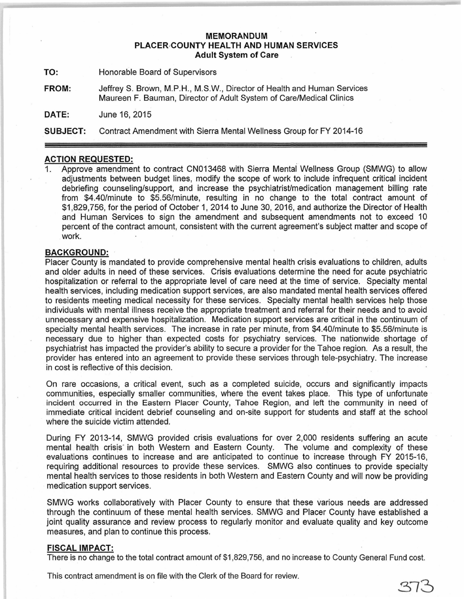## **MEMORANDUM PLACER·COUNTY HEALTH AND HUMAN SERVICES Adult System of Care**

**TO:** Honorable Board of Supervisors

**FROM:** JeffreyS. Brown, M.P.H., M.S.W., Director of Health and Human Services Maureen F. Bauman, Director of Adult System of Care/Medical Clinics

**DATE:** June 16, 2015

**SUBJECT:** Contract Amendment with Sierra Mental Wellness Group for FY 2014-16

## **ACTION REQUESTED:**

1. Approve amendment to contract CN013468 with Sierra Mental Wellness Group (SMWG) to allow adjustments between budget lines, modify the scope of work to include infrequent critical incident debriefing counseling/support, and increase the psychiatrist/medication management billing rate from \$4.40/minute to \$5.56/minute, resulting in no change to the total contract amount of \$1 ,829, 756, for the period of October 1, 2014 to June 30, 2016, and authorize the Director of Health and Human Services to sign the amendment and subsequent amendments not to exceed 10 percent of the contract amount, consistent with the current agreement's subject matter and scope of work.

## **BACKGROUND:**

Placer County is mandated to provide comprehensive mental health crisis evaluations to children, adults and older adults in need of these services. Crisis evaluations determine the need for acute psychiatric hospitalization or referral to the appropriate level of care need at the time of service. Specialty mental health services, including medication support services, are also mandated mental health services offered to residents meeting medical necessity for these services. Specialty mental health services help those individuals with mental illness receive the appropriate treatment and referral for their needs and to avoid unnecessary and expensive hospitalization. Medication support services are critical in the continuum of specialty mental health services. The increase in rate per minute, from \$4.40/minute to \$5.56/minute is necessary due to higher than expected costs for psychiatry services. The nationwide shortage of psychiatrist has impacted the provider's ability to secure a provider for the Tahoe region. As a result, the provider has entered into an agreement to provide these services through tele-psychiatry. The increase in cost is reflective of this decision.

On rare occasions, a critical event, such as a completed suicide, occurs and significantly impacts communities, especially smaller communities, where the event takes place. This type of unfortunate incident occurred in the Eastern Placer County, Tahoe Region, and left the community in need of immediate critical incident debrief counseling and on-site support for students and staff at the school where the suicide victim attended.

During FY 2013-14, SMWG provided crisis evaluations for over 2,000 residents suffering an acute mental health crisis in both Western and Eastern County. The volume and complexity of these evaluations continues to increase and are anticipated to continue to increase through FY 2015-16, requiring additional resources to provide these services. SMWG also continues to provide specialty mental health services to those residents in both Western and Eastern County and will now be providing medication support services.

SMWG works collaboratively with Placer County to ensure that these various needs are addressed through the continuum of these mental health services. SMWG and Placer County have established a joint quality assurance and review process to regularly monitor and evaluate quality and key outcome measures, and plan to continue this process.

## **FISCAL IMPACT:**

There is no change to the total contract amount of \$1,829,756, and no increase to County General Fund cost.

This contract amendment is on file with the Clerk of the Board for review.